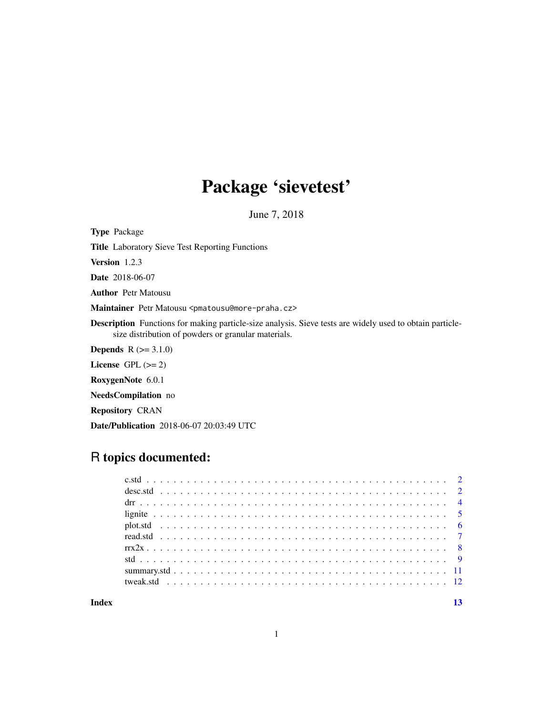# Package 'sievetest'

June 7, 2018

<span id="page-0-0"></span>Type Package

Title Laboratory Sieve Test Reporting Functions

Version 1.2.3

Date 2018-06-07

Author Petr Matousu

Maintainer Petr Matousu <pmatousu@more-praha.cz>

Description Functions for making particle-size analysis. Sieve tests are widely used to obtain particlesize distribution of powders or granular materials.

**Depends**  $R (= 3.1.0)$ 

License GPL  $(>= 2)$ 

RoxygenNote 6.0.1

NeedsCompilation no

Repository CRAN

Date/Publication 2018-06-07 20:03:49 UTC

# R topics documented:

**Index** [13](#page-12-0)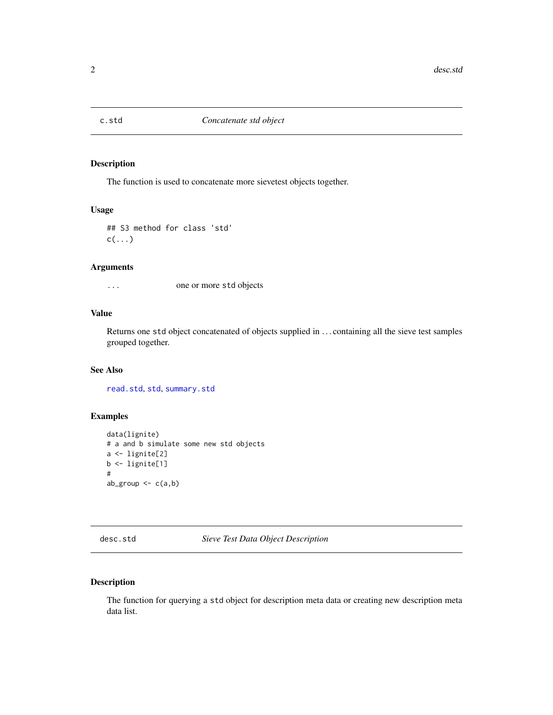<span id="page-1-1"></span><span id="page-1-0"></span>

The function is used to concatenate more sievetest objects together.

#### Usage

```
## S3 method for class 'std'
c(\ldots)
```
### Arguments

... one or more std objects

## Value

Returns one std object concatenated of objects supplied in . . . containing all the sieve test samples grouped together.

#### See Also

[read.std](#page-6-1), [std](#page-8-1), [summary.std](#page-10-1)

### Examples

```
data(lignite)
# a and b simulate some new std objects
a <- lignite[2]
b <- lignite[1]
#
ab\_group \leftarrow c(a,b)
```
<span id="page-1-2"></span>desc.std *Sieve Test Data Object Description*

#### Description

The function for querying a std object for description meta data or creating new description meta data list.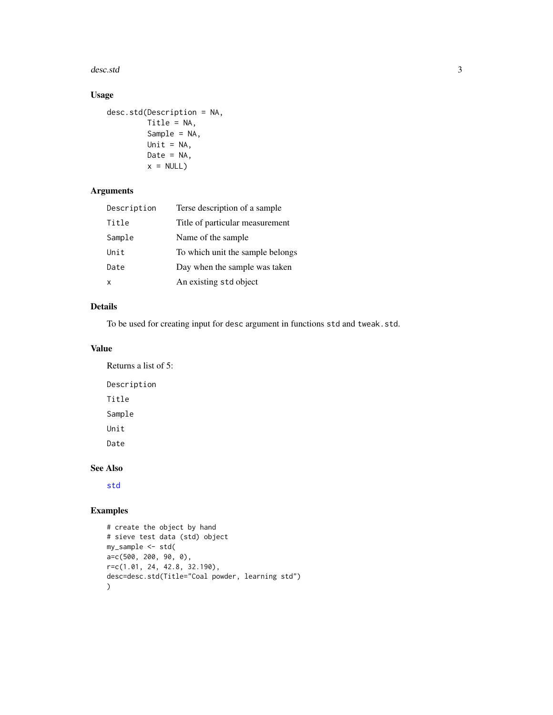<span id="page-2-0"></span>desc.std 3

# Usage

```
desc.std(Description = NA,
        Title = NA,
        Sample = NA,
        Unit = NA,
        Date = NA,
        x = NULL
```
### Arguments

| Description               | Terse description of a sample    |
|---------------------------|----------------------------------|
| Title                     | Title of particular measurement  |
| Sample                    | Name of the sample               |
| Unit                      | To which unit the sample belongs |
| Date                      | Day when the sample was taken    |
| $\boldsymbol{\mathsf{x}}$ | An existing std object           |

### Details

To be used for creating input for desc argument in functions std and tweak.std.

# Value

Returns a list of 5: Description Title Sample Unit Date

# See Also

[std](#page-8-1)

# Examples

```
# create the object by hand
# sieve test data (std) object
my_sample <- std(
a=c(500, 200, 90, 0),r=c(1.01, 24, 42.8, 32.190),
desc=desc.std(Title="Coal powder, learning std")
)
```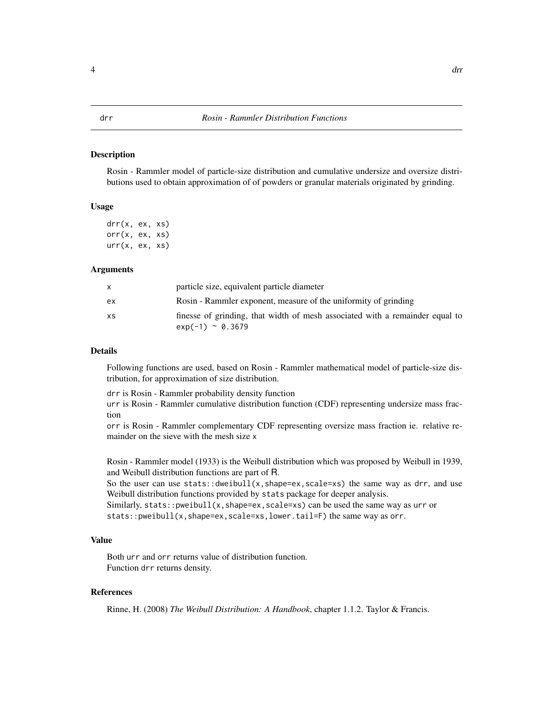<span id="page-3-1"></span><span id="page-3-0"></span>Rosin - Rammler model of particle-size distribution and cumulative undersize and oversize distributions used to obtain approximation of of powders or granular materials originated by grinding.

#### Usage

drr(x, ex, xs) orr(x, ex, xs) urr(x, ex, xs)

#### Arguments

|     | particle size, equivalent particle diameter                                                            |
|-----|--------------------------------------------------------------------------------------------------------|
| ex. | Rosin - Rammler exponent, measure of the uniformity of grinding                                        |
| XS. | finesse of grinding, that width of mesh associated with a remainder equal to<br>$\exp(-1) \sim 0.3679$ |

#### Details

Following functions are used, based on Rosin - Rammler mathematical model of particle-size distribution, for approximation of size distribution.

drr is Rosin - Rammler probability density function

urr is Rosin - Rammler cumulative distribution function (CDF) representing undersize mass fraction

orr is Rosin - Rammler complementary CDF representing oversize mass fraction ie. relative remainder on the sieve with the mesh size x

Rosin - Rammler model (1933) is the Weibull distribution which was proposed by Weibull in 1939, and Weibull distribution functions are part of R.

So the user can use stats::dweibull(x,shape=ex,scale=xs) the same way as drr, and use Weibull distribution functions provided by stats package for deeper analysis.

Similarly, stats::pweibull(x, shape=ex, scale=xs) can be used the same way as urr or stats::pweibull(x,shape=ex,scale=xs,lower.tail=F) the same way as orr.

#### Value

Both urr and orr returns value of distribution function. Function drr returns density.

#### References

Rinne, H. (2008) *The Weibull Distribution: A Handbook*, chapter 1.1.2. Taylor & Francis.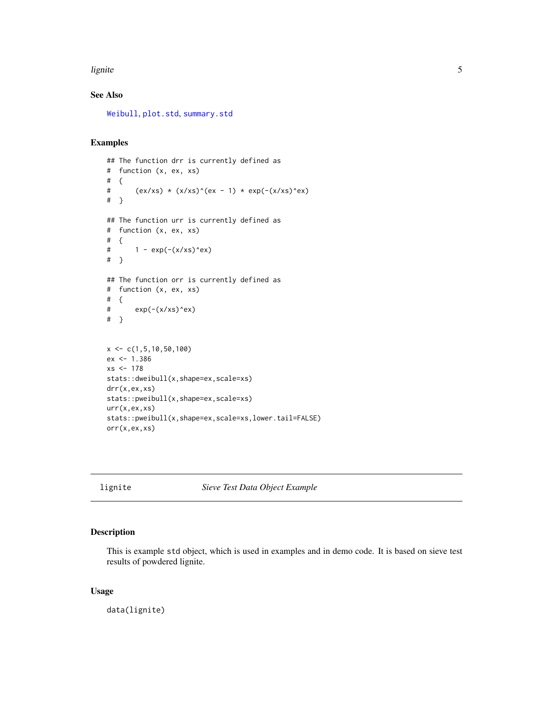#### <span id="page-4-0"></span>lignite 5 and 5 and 5 and 5 and 5 and 5 and 5 and 5 and 5 and 5 and 5 and 5 and 5 and 5 and 5 and 5 and 5 and 5 and 5 and 5 and 5 and 5 and 5 and 5 and 5 and 5 and 5 and 5 and 5 and 5 and 5 and 5 and 5 and 5 and 5 and 5 an

# See Also

[Weibull](#page-0-0), [plot.std](#page-5-1), [summary.std](#page-10-1)

#### Examples

```
## The function drr is currently defined as
# function (x, ex, xs)
# {
# (ex/xs) * (x/xs)^{(ex - 1)} * exp(-(x/xs)^{ex})# }
## The function urr is currently defined as
# function (x, ex, xs)
# {
# 1 - \exp(-(x/xs)^{n}e^{x})# }
## The function orr is currently defined as
# function (x, ex, xs)
# {
# exp(-(x/xs)^ex)
# }
x \leftarrow c(1, 5, 10, 50, 100)ex <- 1.386
xs < -178stats::dweibull(x,shape=ex,scale=xs)
drr(x,ex,xs)
stats::pweibull(x,shape=ex,scale=xs)
urr(x,ex,xs)
stats::pweibull(x,shape=ex,scale=xs,lower.tail=FALSE)
orr(x,ex,xs)
```
lignite *Sieve Test Data Object Example*

### Description

This is example std object, which is used in examples and in demo code. It is based on sieve test results of powdered lignite.

#### Usage

data(lignite)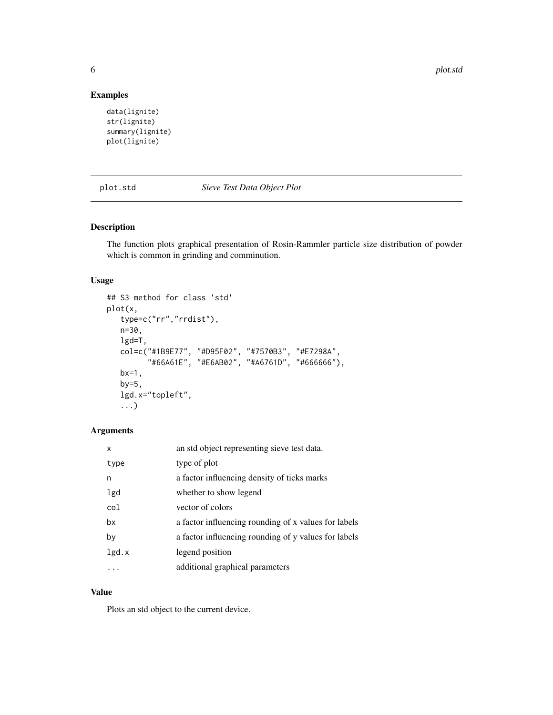<span id="page-5-0"></span>6 plot.std

### Examples

```
data(lignite)
str(lignite)
summary(lignite)
plot(lignite)
```
<span id="page-5-1"></span>

#### plot.std *Sieve Test Data Object Plot*

### Description

The function plots graphical presentation of Rosin-Rammler particle size distribution of powder which is common in grinding and comminution.

### Usage

```
## S3 method for class 'std'
plot(x,
   type=c("rr","rrdist"),
   n=30,
   lgd=T,
   col=c("#1B9E77", "#D95F02", "#7570B3", "#E7298A",
         "#66A61E", "#E6AB02", "#A6761D", "#666666"),
   bx=1,
   by=5,
   lgd.x="topleft",
   ...)
```
### Arguments

| X     | an std object representing sieve test data.          |
|-------|------------------------------------------------------|
| type  | type of plot                                         |
| n     | a factor influencing density of ticks marks          |
| lgd   | whether to show legend                               |
| col   | vector of colors                                     |
| bx    | a factor influencing rounding of x values for labels |
| by    | a factor influencing rounding of y values for labels |
| lgd.x | legend position                                      |
|       | additional graphical parameters                      |

# Value

Plots an std object to the current device.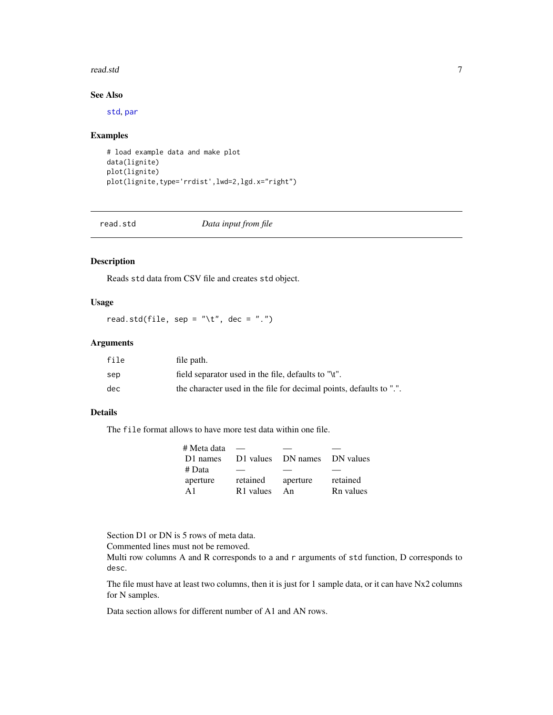#### <span id="page-6-0"></span>read.std 7 and 7 and 7 and 7 and 7 and 7 and 7 and 7 and 7 and 7 and 7 and 7 and 7 and 7 and 7 and 7 and 7 and 7

# See Also

[std](#page-8-1), [par](#page-0-0)

#### Examples

```
# load example data and make plot
data(lignite)
plot(lignite)
plot(lignite,type='rrdist',lwd=2,lgd.x="right")
```
<span id="page-6-1"></span>read.std *Data input from file*

#### Description

Reads std data from CSV file and creates std object.

# Usage

read.std(file, sep = " $\setminus t$ ", dec = ".")

## Arguments

| file | file path.                                                          |
|------|---------------------------------------------------------------------|
| sep  | field separator used in the file, defaults to "\t".                 |
| dec  | the character used in the file for decimal points, defaults to ".". |

#### Details

The file format allows to have more test data within one file.

| # Meta data    |                       |                              |           |
|----------------|-----------------------|------------------------------|-----------|
| D1 names       |                       | D1 values DN names DN values |           |
| # Data         | __                    |                              |           |
| aperture       | retained              | aperture                     | retained  |
| $\mathbf{A}$ 1 | R <sub>1</sub> values | An                           | Rn values |

Section D1 or DN is 5 rows of meta data.

Commented lines must not be removed.

Multi row columns A and R corresponds to a and r arguments of std function, D corresponds to desc.

The file must have at least two columns, then it is just for 1 sample data, or it can have Nx2 columns for N samples.

Data section allows for different number of A1 and AN rows.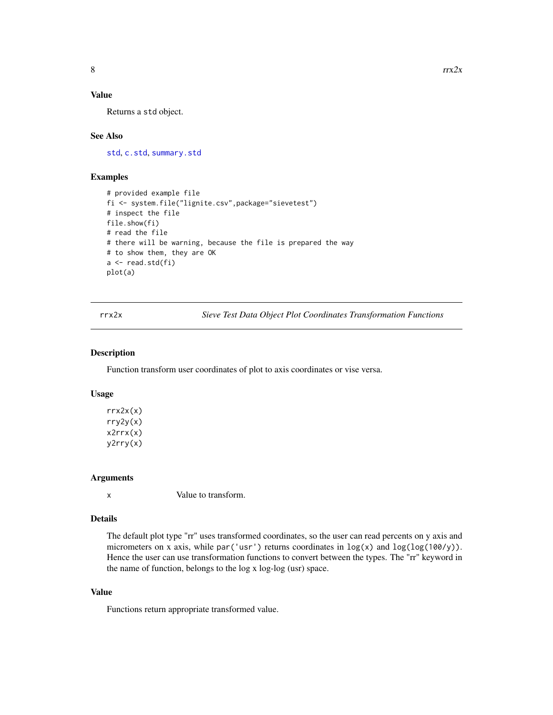## <span id="page-7-0"></span>Value

Returns a std object.

#### See Also

[std](#page-8-1), [c.std](#page-1-1), [summary.std](#page-10-1)

#### Examples

```
# provided example file
fi <- system.file("lignite.csv",package="sievetest")
# inspect the file
file.show(fi)
# read the file
# there will be warning, because the file is prepared the way
# to show them, they are OK
a <- read.std(fi)
plot(a)
```
rrx2x *Sieve Test Data Object Plot Coordinates Transformation Functions*

#### Description

Function transform user coordinates of plot to axis coordinates or vise versa.

#### Usage

 $rrx2x(x)$ rry2y(x) x2rrx(x) y2rry(x)

#### Arguments

x Value to transform.

#### Details

The default plot type "rr" uses transformed coordinates, so the user can read percents on y axis and micrometers on x axis, while par('usr') returns coordinates in  $\log(x)$  and  $\log(\log(100/y))$ . Hence the user can use transformation functions to convert between the types. The "rr" keyword in the name of function, belongs to the log x log-log (usr) space.

## Value

Functions return appropriate transformed value.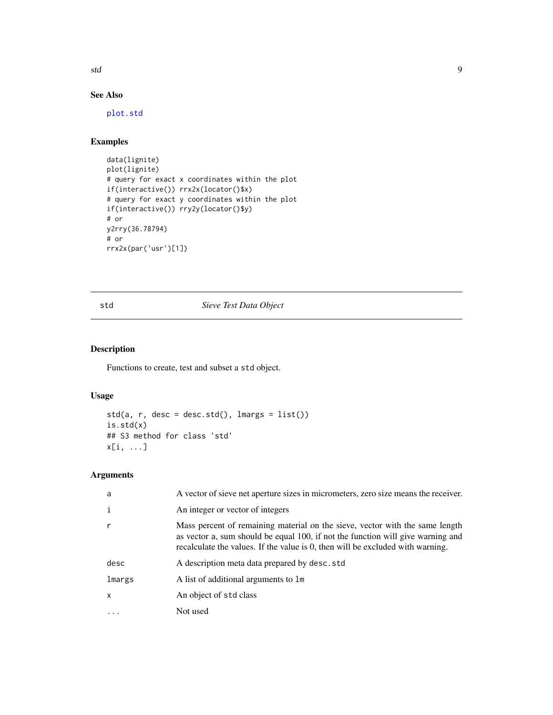<span id="page-8-0"></span>std 9

# See Also

[plot.std](#page-5-1)

#### Examples

```
data(lignite)
plot(lignite)
# query for exact x coordinates within the plot
if(interactive()) rrx2x(locator()$x)
# query for exact y coordinates within the plot
if(interactive()) rry2y(locator()$y)
# or
y2rry(36.78794)
# or
rrx2x(par('usr')[1])
```
### <span id="page-8-1"></span>std *Sieve Test Data Object*

# Description

Functions to create, test and subset a std object.

#### Usage

```
std(a, r, desc = desc.std(), lmargs = list())
is.std(x)
## S3 method for class 'std'
x[i, ...]
```
### Arguments

| a      | A vector of sieve net aperture sizes in micrometers, zero size means the receiver.                                                                                                                                                                |
|--------|---------------------------------------------------------------------------------------------------------------------------------------------------------------------------------------------------------------------------------------------------|
| i      | An integer or vector of integers                                                                                                                                                                                                                  |
|        | Mass percent of remaining material on the sieve, vector with the same length<br>as vector a, sum should be equal 100, if not the function will give warning and<br>recalculate the values. If the value is 0, then will be excluded with warning. |
| desc   | A description meta data prepared by desc.std                                                                                                                                                                                                      |
| lmargs | A list of additional arguments to 1m                                                                                                                                                                                                              |
| X      | An object of std class                                                                                                                                                                                                                            |
|        | Not used                                                                                                                                                                                                                                          |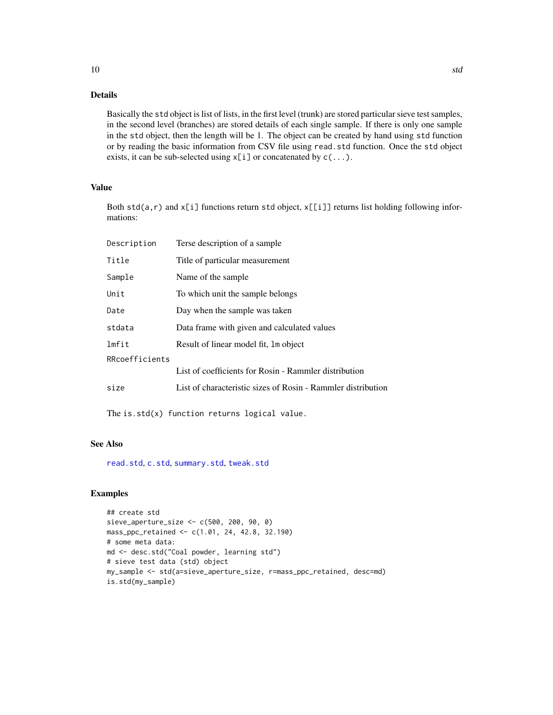#### Details

Basically the std object is list of lists, in the first level (trunk) are stored particular sieve test samples, in the second level (branches) are stored details of each single sample. If there is only one sample in the std object, then the length will be 1. The object can be created by hand using std function or by reading the basic information from CSV file using read.std function. Once the std object exists, it can be sub-selected using  $x[i]$  or concatenated by  $c(\ldots)$ .

#### Value

Both std(a,r) and  $x[i]$  functions return std object,  $x[[i]]$  returns list holding following informations:

| Description    | Terse description of a sample                                |
|----------------|--------------------------------------------------------------|
| Title          | Title of particular measurement                              |
| Sample         | Name of the sample                                           |
| Unit           | To which unit the sample belongs                             |
| Date           | Day when the sample was taken                                |
| stdata         | Data frame with given and calculated values                  |
| lmfit          | Result of linear model fit, 1 m object                       |
| RRcoefficients |                                                              |
|                | List of coefficients for Rosin - Rammler distribution        |
| size           | List of characteristic sizes of Rosin - Rammler distribution |

The is.std(x) function returns logical value.

## See Also

[read.std](#page-6-1), [c.std](#page-1-1), [summary.std](#page-10-1), [tweak.std](#page-11-1)

#### Examples

```
## create std
sieve_aperture_size <- c(500, 200, 90, 0)
mass_ppc_retained <- c(1.01, 24, 42.8, 32.190)
# some meta data:
md <- desc.std("Coal powder, learning std")
# sieve test data (std) object
my_sample <- std(a=sieve_aperture_size, r=mass_ppc_retained, desc=md)
is.std(my_sample)
```
<span id="page-9-0"></span>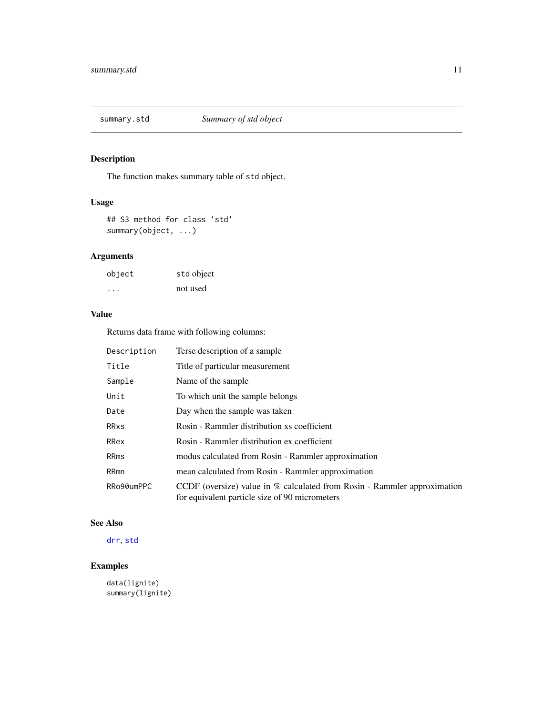<span id="page-10-1"></span><span id="page-10-0"></span>

The function makes summary table of std object.

#### Usage

## S3 method for class 'std' summary(object, ...)

# Arguments

| object | std object |
|--------|------------|
| .      | not used   |

# Value

Returns data frame with following columns:

| Description | Terse description of a sample                                                                                              |
|-------------|----------------------------------------------------------------------------------------------------------------------------|
| Title       | Title of particular measurement                                                                                            |
| Sample      | Name of the sample                                                                                                         |
| Unit        | To which unit the sample belongs                                                                                           |
| Date        | Day when the sample was taken                                                                                              |
| <b>RRxs</b> | Rosin - Rammler distribution xs coefficient                                                                                |
| RRex        | Rosin - Rammler distribution ex coefficient                                                                                |
| RRms        | modus calculated from Rosin - Rammler approximation                                                                        |
| RRmn        | mean calculated from Rosin - Rammler approximation                                                                         |
| RRo90umPPC  | CCDF (oversize) value in % calculated from Rosin - Rammler approximation<br>for equivalent particle size of 90 micrometers |

# See Also

# [drr](#page-3-1), [std](#page-8-1)

# Examples

data(lignite) summary(lignite)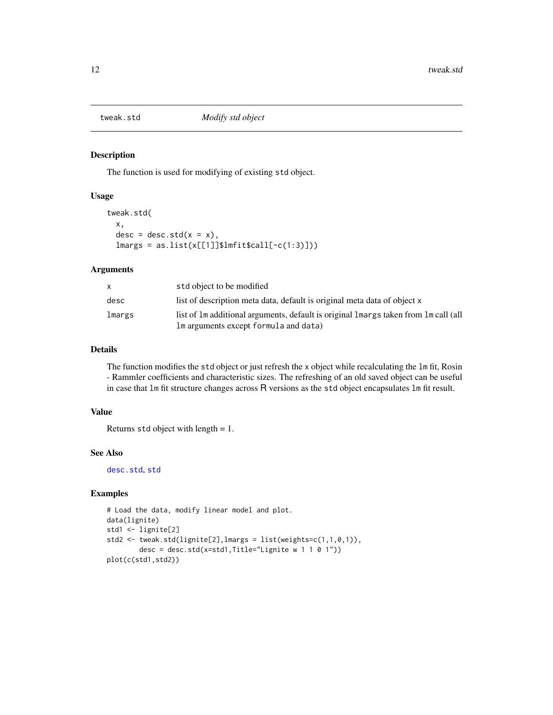<span id="page-11-1"></span><span id="page-11-0"></span>

The function is used for modifying of existing std object.

#### Usage

```
tweak.std(
  x,
 desc = desc.std(x = x),
  lmargs = as.list(x[[1]]$lmfit$call[-c(1:3)]))
```
#### Arguments

|        | std object to be modified                                                             |
|--------|---------------------------------------------------------------------------------------|
| desc   | list of description meta data, default is original meta data of object x              |
| lmargs | list of 1m additional arguments, default is original 1 margs taken from 1 m call (all |
|        | Im arguments except formula and data)                                                 |

#### Details

The function modifies the std object or just refresh the x object while recalculating the lm fit, Rosin - Rammler coefficients and characteristic sizes. The refreshing of an old saved object can be useful in case that lm fit structure changes across R versions as the std object encapsulates lm fit result.

#### Value

Returns std object with length = 1.

#### See Also

[desc.std](#page-1-2), [std](#page-8-1)

#### Examples

```
# Load the data, modify linear model and plot.
data(lignite)
std1 <- lignite[2]
std2 <- tweak.std(lignite[2],lmargs = list(weights=c(1,1,0,1)),
       desc = desc.std(x=std1,Title="Lignite w 1 1 0 1"))
plot(c(std1,std2))
```